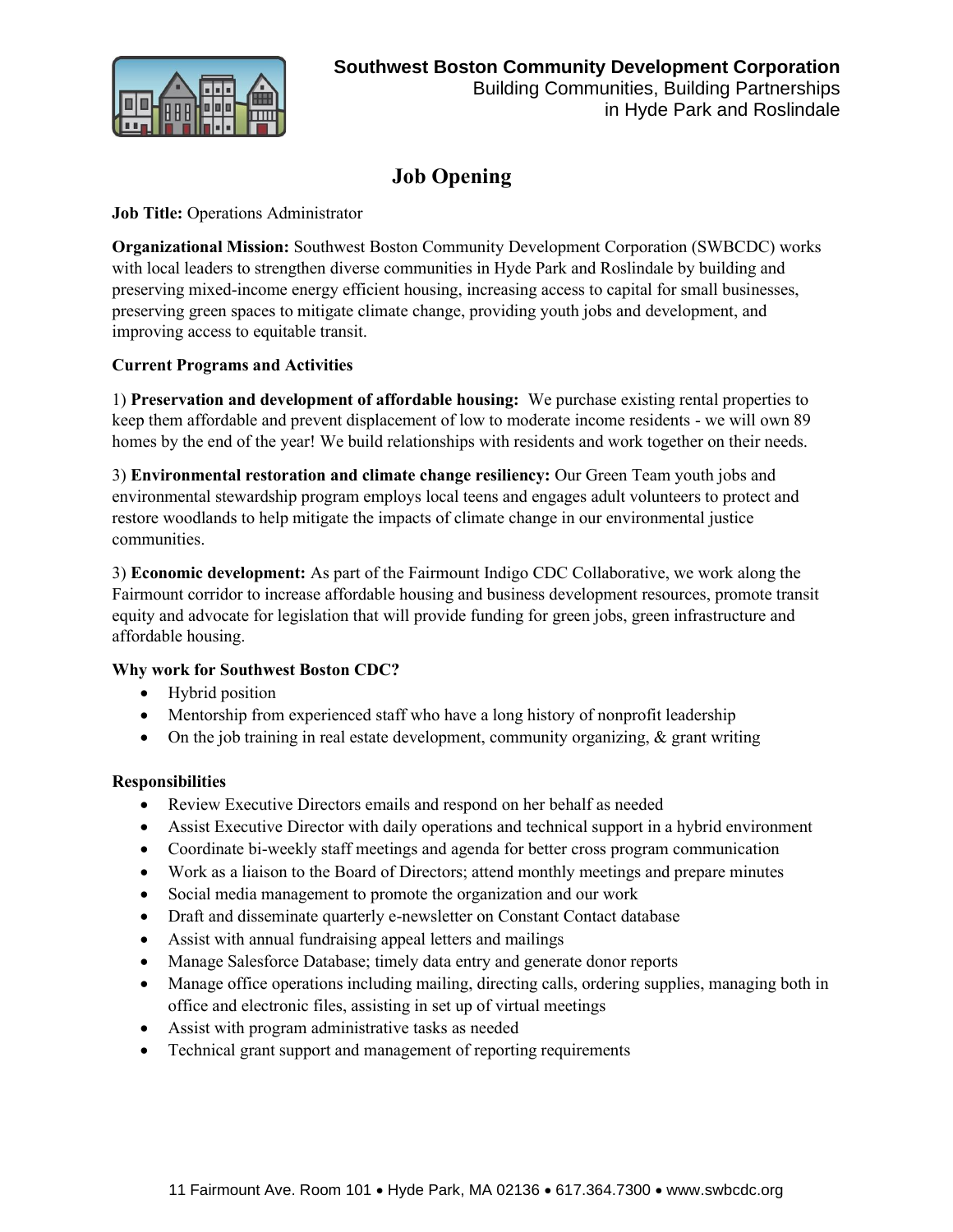

in Hyde Park and Roslindale

# **Job Opening**

## **Job Title:** Operations Administrator

**Organizational Mission:** Southwest Boston Community Development Corporation (SWBCDC) works with local leaders to strengthen diverse communities in Hyde Park and Roslindale by building and preserving mixed-income energy efficient housing, increasing access to capital for small businesses, preserving green spaces to mitigate climate change, providing youth jobs and development, and improving access to equitable transit.

## **Current Programs and Activities**

1) **Preservation and development of affordable housing:** We purchase existing rental properties to keep them affordable and prevent displacement of low to moderate income residents - we will own 89 homes by the end of the year! We build relationships with residents and work together on their needs.

3) **Environmental restoration and climate change resiliency:** Our Green Team youth jobs and environmental stewardship program employs local teens and engages adult volunteers to protect and restore woodlands to help mitigate the impacts of climate change in our environmental justice communities.

3) **Economic development:** As part of the Fairmount Indigo CDC Collaborative, we work along the Fairmount corridor to increase affordable housing and business development resources, promote transit equity and advocate for legislation that will provide funding for green jobs, green infrastructure and affordable housing.

## **Why work for Southwest Boston CDC?**

- Hybrid position
- Mentorship from experienced staff who have a long history of nonprofit leadership
- On the job training in real estate development, community organizing, & grant writing

## **Responsibilities**

- Review Executive Directors emails and respond on her behalf as needed
- Assist Executive Director with daily operations and technical support in a hybrid environment
- Coordinate bi-weekly staff meetings and agenda for better cross program communication
- Work as a liaison to the Board of Directors; attend monthly meetings and prepare minutes
- Social media management to promote the organization and our work
- Draft and disseminate quarterly e-newsletter on Constant Contact database
- Assist with annual fundraising appeal letters and mailings
- Manage Salesforce Database; timely data entry and generate donor reports
- Manage office operations including mailing, directing calls, ordering supplies, managing both in office and electronic files, assisting in set up of virtual meetings
- Assist with program administrative tasks as needed
- Technical grant support and management of reporting requirements